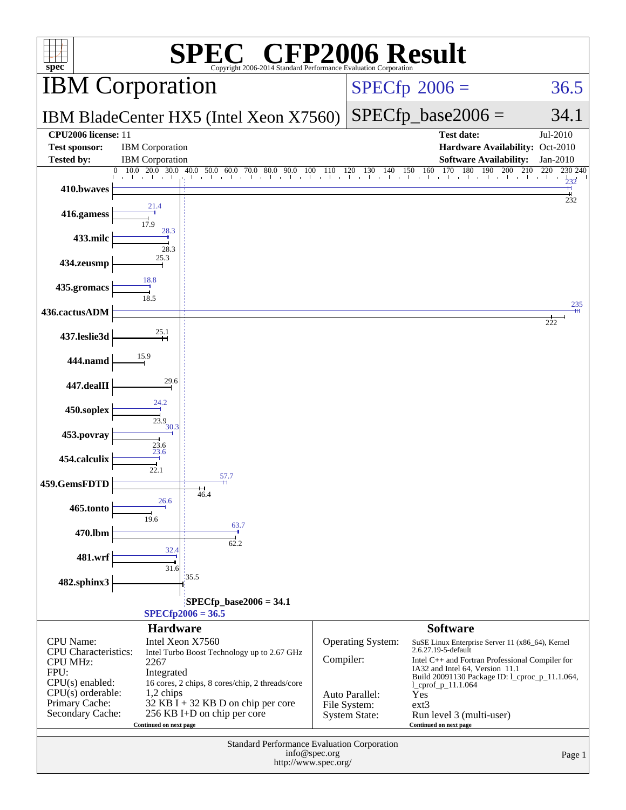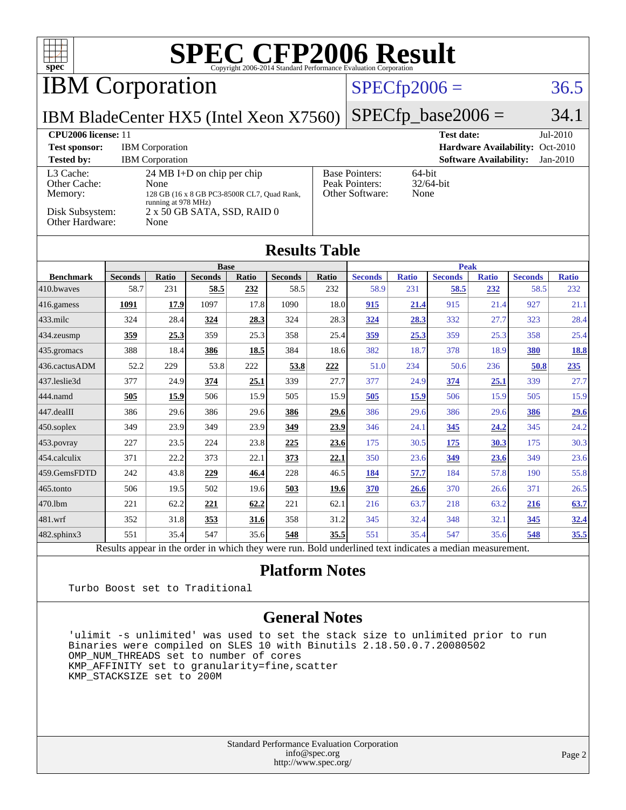

Results appear in the [order in which they were run.](http://www.spec.org/auto/cpu2006/Docs/result-fields.html#RunOrder) Bold underlined text [indicates a median measurement.](http://www.spec.org/auto/cpu2006/Docs/result-fields.html#Median)

### **[Platform Notes](http://www.spec.org/auto/cpu2006/Docs/result-fields.html#PlatformNotes)**

Turbo Boost set to Traditional

### **[General Notes](http://www.spec.org/auto/cpu2006/Docs/result-fields.html#GeneralNotes)**

 'ulimit -s unlimited' was used to set the stack size to unlimited prior to run Binaries were compiled on SLES 10 with Binutils 2.18.50.0.7.20080502 OMP NUM THREADS set to number of cores KMP\_AFFINITY set to granularity=fine,scatter KMP\_STACKSIZE set to 200M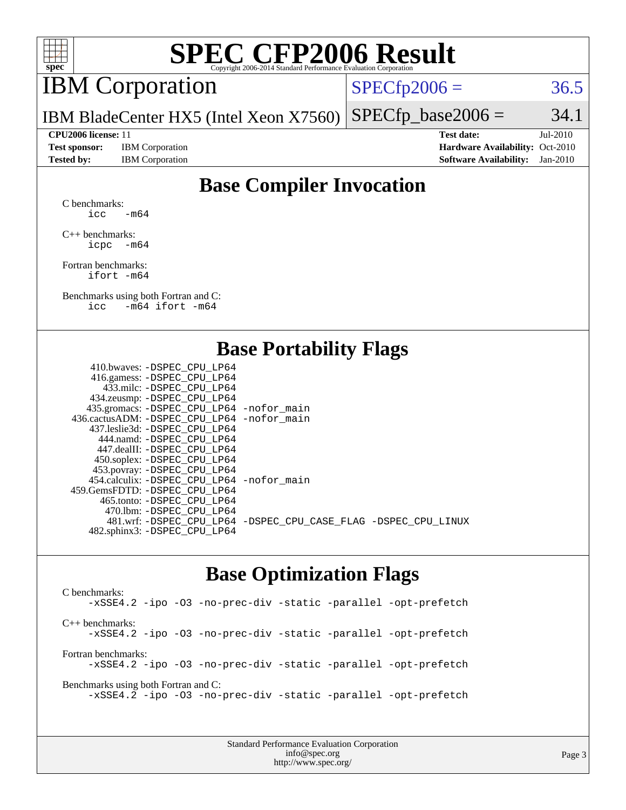

# **[SPEC CFP2006 Result](http://www.spec.org/auto/cpu2006/Docs/result-fields.html#SPECCFP2006Result)**

# IBM Corporation

 $SPECTp2006 = 36.5$ 

IBM BladeCenter HX5 (Intel Xeon X7560)  $SPECTp\_base2006 = 34.1$ 

**[Test sponsor:](http://www.spec.org/auto/cpu2006/Docs/result-fields.html#Testsponsor)** IBM Corporation **[Hardware Availability:](http://www.spec.org/auto/cpu2006/Docs/result-fields.html#HardwareAvailability)** Oct-2010

**[CPU2006 license:](http://www.spec.org/auto/cpu2006/Docs/result-fields.html#CPU2006license)** 11 **[Test date:](http://www.spec.org/auto/cpu2006/Docs/result-fields.html#Testdate)** Jul-2010 **[Tested by:](http://www.spec.org/auto/cpu2006/Docs/result-fields.html#Testedby)** IBM Corporation **[Software Availability:](http://www.spec.org/auto/cpu2006/Docs/result-fields.html#SoftwareAvailability)** Jan-2010

# **[Base Compiler Invocation](http://www.spec.org/auto/cpu2006/Docs/result-fields.html#BaseCompilerInvocation)**

[C benchmarks](http://www.spec.org/auto/cpu2006/Docs/result-fields.html#Cbenchmarks): icc  $-m64$ 

[C++ benchmarks:](http://www.spec.org/auto/cpu2006/Docs/result-fields.html#CXXbenchmarks) [icpc -m64](http://www.spec.org/cpu2006/results/res2010q3/cpu2006-20100802-12778.flags.html#user_CXXbase_intel_icpc_64bit_bedb90c1146cab66620883ef4f41a67e)

[Fortran benchmarks](http://www.spec.org/auto/cpu2006/Docs/result-fields.html#Fortranbenchmarks): [ifort -m64](http://www.spec.org/cpu2006/results/res2010q3/cpu2006-20100802-12778.flags.html#user_FCbase_intel_ifort_64bit_ee9d0fb25645d0210d97eb0527dcc06e)

[Benchmarks using both Fortran and C](http://www.spec.org/auto/cpu2006/Docs/result-fields.html#BenchmarksusingbothFortranandC): [icc -m64](http://www.spec.org/cpu2006/results/res2010q3/cpu2006-20100802-12778.flags.html#user_CC_FCbase_intel_icc_64bit_0b7121f5ab7cfabee23d88897260401c) [ifort -m64](http://www.spec.org/cpu2006/results/res2010q3/cpu2006-20100802-12778.flags.html#user_CC_FCbase_intel_ifort_64bit_ee9d0fb25645d0210d97eb0527dcc06e)

## **[Base Portability Flags](http://www.spec.org/auto/cpu2006/Docs/result-fields.html#BasePortabilityFlags)**

| 410.bwaves: -DSPEC CPU LP64                 |                                                                |
|---------------------------------------------|----------------------------------------------------------------|
| 416.gamess: - DSPEC_CPU_LP64                |                                                                |
| 433.milc: -DSPEC CPU LP64                   |                                                                |
| 434.zeusmp: -DSPEC_CPU_LP64                 |                                                                |
| 435.gromacs: -DSPEC_CPU_LP64 -nofor_main    |                                                                |
| 436.cactusADM: -DSPEC CPU LP64 -nofor main  |                                                                |
| 437.leslie3d: -DSPEC CPU LP64               |                                                                |
| 444.namd: - DSPEC CPU LP64                  |                                                                |
| 447.dealII: -DSPEC CPU LP64                 |                                                                |
| 450.soplex: -DSPEC_CPU_LP64                 |                                                                |
| 453.povray: -DSPEC_CPU_LP64                 |                                                                |
| 454.calculix: - DSPEC CPU LP64 - nofor main |                                                                |
| 459.GemsFDTD: -DSPEC CPU LP64               |                                                                |
| 465.tonto: - DSPEC CPU LP64                 |                                                                |
| 470.1bm: - DSPEC CPU LP64                   |                                                                |
|                                             | 481.wrf: -DSPEC_CPU_LP64 -DSPEC_CPU_CASE_FLAG -DSPEC_CPU_LINUX |
| 482.sphinx3: -DSPEC_CPU_LP64                |                                                                |
|                                             |                                                                |

### **[Base Optimization Flags](http://www.spec.org/auto/cpu2006/Docs/result-fields.html#BaseOptimizationFlags)**

[C benchmarks](http://www.spec.org/auto/cpu2006/Docs/result-fields.html#Cbenchmarks): [-xSSE4.2](http://www.spec.org/cpu2006/results/res2010q3/cpu2006-20100802-12778.flags.html#user_CCbase_f-xSSE42_f91528193cf0b216347adb8b939d4107) [-ipo](http://www.spec.org/cpu2006/results/res2010q3/cpu2006-20100802-12778.flags.html#user_CCbase_f-ipo) [-O3](http://www.spec.org/cpu2006/results/res2010q3/cpu2006-20100802-12778.flags.html#user_CCbase_f-O3) [-no-prec-div](http://www.spec.org/cpu2006/results/res2010q3/cpu2006-20100802-12778.flags.html#user_CCbase_f-no-prec-div) [-static](http://www.spec.org/cpu2006/results/res2010q3/cpu2006-20100802-12778.flags.html#user_CCbase_f-static) [-parallel](http://www.spec.org/cpu2006/results/res2010q3/cpu2006-20100802-12778.flags.html#user_CCbase_f-parallel) [-opt-prefetch](http://www.spec.org/cpu2006/results/res2010q3/cpu2006-20100802-12778.flags.html#user_CCbase_f-opt-prefetch) [C++ benchmarks:](http://www.spec.org/auto/cpu2006/Docs/result-fields.html#CXXbenchmarks) [-xSSE4.2](http://www.spec.org/cpu2006/results/res2010q3/cpu2006-20100802-12778.flags.html#user_CXXbase_f-xSSE42_f91528193cf0b216347adb8b939d4107) [-ipo](http://www.spec.org/cpu2006/results/res2010q3/cpu2006-20100802-12778.flags.html#user_CXXbase_f-ipo) [-O3](http://www.spec.org/cpu2006/results/res2010q3/cpu2006-20100802-12778.flags.html#user_CXXbase_f-O3) [-no-prec-div](http://www.spec.org/cpu2006/results/res2010q3/cpu2006-20100802-12778.flags.html#user_CXXbase_f-no-prec-div) [-static](http://www.spec.org/cpu2006/results/res2010q3/cpu2006-20100802-12778.flags.html#user_CXXbase_f-static) [-parallel](http://www.spec.org/cpu2006/results/res2010q3/cpu2006-20100802-12778.flags.html#user_CXXbase_f-parallel) [-opt-prefetch](http://www.spec.org/cpu2006/results/res2010q3/cpu2006-20100802-12778.flags.html#user_CXXbase_f-opt-prefetch) [Fortran benchmarks](http://www.spec.org/auto/cpu2006/Docs/result-fields.html#Fortranbenchmarks): [-xSSE4.2](http://www.spec.org/cpu2006/results/res2010q3/cpu2006-20100802-12778.flags.html#user_FCbase_f-xSSE42_f91528193cf0b216347adb8b939d4107) [-ipo](http://www.spec.org/cpu2006/results/res2010q3/cpu2006-20100802-12778.flags.html#user_FCbase_f-ipo) [-O3](http://www.spec.org/cpu2006/results/res2010q3/cpu2006-20100802-12778.flags.html#user_FCbase_f-O3) [-no-prec-div](http://www.spec.org/cpu2006/results/res2010q3/cpu2006-20100802-12778.flags.html#user_FCbase_f-no-prec-div) [-static](http://www.spec.org/cpu2006/results/res2010q3/cpu2006-20100802-12778.flags.html#user_FCbase_f-static) [-parallel](http://www.spec.org/cpu2006/results/res2010q3/cpu2006-20100802-12778.flags.html#user_FCbase_f-parallel) [-opt-prefetch](http://www.spec.org/cpu2006/results/res2010q3/cpu2006-20100802-12778.flags.html#user_FCbase_f-opt-prefetch) [Benchmarks using both Fortran and C](http://www.spec.org/auto/cpu2006/Docs/result-fields.html#BenchmarksusingbothFortranandC): [-xSSE4.2](http://www.spec.org/cpu2006/results/res2010q3/cpu2006-20100802-12778.flags.html#user_CC_FCbase_f-xSSE42_f91528193cf0b216347adb8b939d4107) [-ipo](http://www.spec.org/cpu2006/results/res2010q3/cpu2006-20100802-12778.flags.html#user_CC_FCbase_f-ipo) [-O3](http://www.spec.org/cpu2006/results/res2010q3/cpu2006-20100802-12778.flags.html#user_CC_FCbase_f-O3) [-no-prec-div](http://www.spec.org/cpu2006/results/res2010q3/cpu2006-20100802-12778.flags.html#user_CC_FCbase_f-no-prec-div) [-static](http://www.spec.org/cpu2006/results/res2010q3/cpu2006-20100802-12778.flags.html#user_CC_FCbase_f-static) [-parallel](http://www.spec.org/cpu2006/results/res2010q3/cpu2006-20100802-12778.flags.html#user_CC_FCbase_f-parallel) [-opt-prefetch](http://www.spec.org/cpu2006/results/res2010q3/cpu2006-20100802-12778.flags.html#user_CC_FCbase_f-opt-prefetch)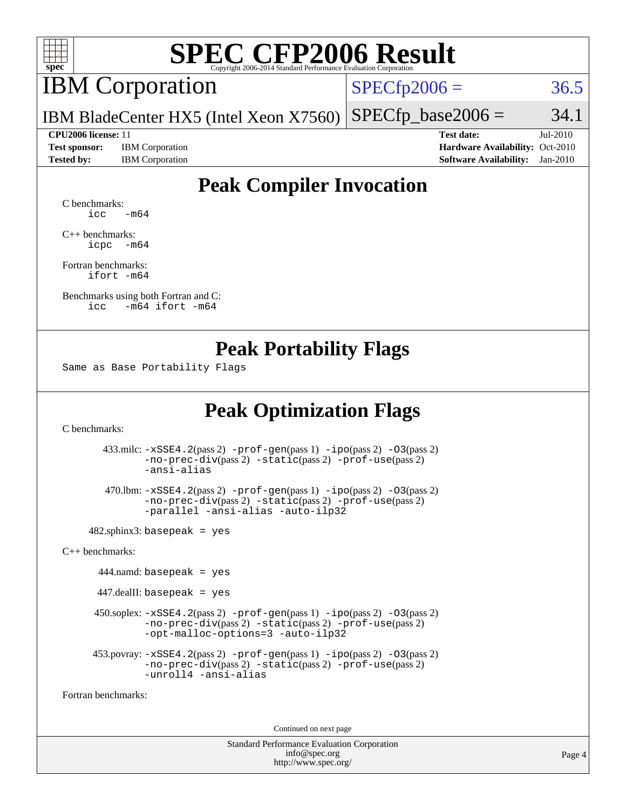

# **[SPEC CFP2006 Result](http://www.spec.org/auto/cpu2006/Docs/result-fields.html#SPECCFP2006Result)**

# IBM Corporation

 $SPECTp2006 = 36.5$ 

IBM BladeCenter HX5 (Intel Xeon X7560)  $SPECTp\_base2006 = 34.1$ 

**[Test sponsor:](http://www.spec.org/auto/cpu2006/Docs/result-fields.html#Testsponsor)** IBM Corporation **[Hardware Availability:](http://www.spec.org/auto/cpu2006/Docs/result-fields.html#HardwareAvailability)** Oct-2010

**[CPU2006 license:](http://www.spec.org/auto/cpu2006/Docs/result-fields.html#CPU2006license)** 11 **[Test date:](http://www.spec.org/auto/cpu2006/Docs/result-fields.html#Testdate)** Jul-2010 **[Tested by:](http://www.spec.org/auto/cpu2006/Docs/result-fields.html#Testedby)** IBM Corporation **[Software Availability:](http://www.spec.org/auto/cpu2006/Docs/result-fields.html#SoftwareAvailability)** Jan-2010

# **[Peak Compiler Invocation](http://www.spec.org/auto/cpu2006/Docs/result-fields.html#PeakCompilerInvocation)**

[C benchmarks](http://www.spec.org/auto/cpu2006/Docs/result-fields.html#Cbenchmarks):  $\text{icc}$   $-\text{m64}$ 

[C++ benchmarks:](http://www.spec.org/auto/cpu2006/Docs/result-fields.html#CXXbenchmarks) [icpc -m64](http://www.spec.org/cpu2006/results/res2010q3/cpu2006-20100802-12778.flags.html#user_CXXpeak_intel_icpc_64bit_bedb90c1146cab66620883ef4f41a67e)

[Fortran benchmarks](http://www.spec.org/auto/cpu2006/Docs/result-fields.html#Fortranbenchmarks): [ifort -m64](http://www.spec.org/cpu2006/results/res2010q3/cpu2006-20100802-12778.flags.html#user_FCpeak_intel_ifort_64bit_ee9d0fb25645d0210d97eb0527dcc06e)

[Benchmarks using both Fortran and C](http://www.spec.org/auto/cpu2006/Docs/result-fields.html#BenchmarksusingbothFortranandC): [icc -m64](http://www.spec.org/cpu2006/results/res2010q3/cpu2006-20100802-12778.flags.html#user_CC_FCpeak_intel_icc_64bit_0b7121f5ab7cfabee23d88897260401c) [ifort -m64](http://www.spec.org/cpu2006/results/res2010q3/cpu2006-20100802-12778.flags.html#user_CC_FCpeak_intel_ifort_64bit_ee9d0fb25645d0210d97eb0527dcc06e)

## **[Peak Portability Flags](http://www.spec.org/auto/cpu2006/Docs/result-fields.html#PeakPortabilityFlags)**

Same as Base Portability Flags

# **[Peak Optimization Flags](http://www.spec.org/auto/cpu2006/Docs/result-fields.html#PeakOptimizationFlags)**

[C benchmarks](http://www.spec.org/auto/cpu2006/Docs/result-fields.html#Cbenchmarks):

 433.milc: [-xSSE4.2](http://www.spec.org/cpu2006/results/res2010q3/cpu2006-20100802-12778.flags.html#user_peakPASS2_CFLAGSPASS2_LDFLAGS433_milc_f-xSSE42_f91528193cf0b216347adb8b939d4107)(pass 2) [-prof-gen](http://www.spec.org/cpu2006/results/res2010q3/cpu2006-20100802-12778.flags.html#user_peakPASS1_CFLAGSPASS1_LDFLAGS433_milc_prof_gen_e43856698f6ca7b7e442dfd80e94a8fc)(pass 1) [-ipo](http://www.spec.org/cpu2006/results/res2010q3/cpu2006-20100802-12778.flags.html#user_peakPASS2_CFLAGSPASS2_LDFLAGS433_milc_f-ipo)(pass 2) [-O3](http://www.spec.org/cpu2006/results/res2010q3/cpu2006-20100802-12778.flags.html#user_peakPASS2_CFLAGSPASS2_LDFLAGS433_milc_f-O3)(pass 2) [-no-prec-div](http://www.spec.org/cpu2006/results/res2010q3/cpu2006-20100802-12778.flags.html#user_peakPASS2_CFLAGSPASS2_LDFLAGS433_milc_f-no-prec-div)(pass 2) [-static](http://www.spec.org/cpu2006/results/res2010q3/cpu2006-20100802-12778.flags.html#user_peakPASS2_CFLAGSPASS2_LDFLAGS433_milc_f-static)(pass 2) [-prof-use](http://www.spec.org/cpu2006/results/res2010q3/cpu2006-20100802-12778.flags.html#user_peakPASS2_CFLAGSPASS2_LDFLAGS433_milc_prof_use_bccf7792157ff70d64e32fe3e1250b55)(pass 2) [-ansi-alias](http://www.spec.org/cpu2006/results/res2010q3/cpu2006-20100802-12778.flags.html#user_peakOPTIMIZE433_milc_f-ansi-alias)

 470.lbm: [-xSSE4.2](http://www.spec.org/cpu2006/results/res2010q3/cpu2006-20100802-12778.flags.html#user_peakPASS2_CFLAGSPASS2_LDFLAGS470_lbm_f-xSSE42_f91528193cf0b216347adb8b939d4107)(pass 2) [-prof-gen](http://www.spec.org/cpu2006/results/res2010q3/cpu2006-20100802-12778.flags.html#user_peakPASS1_CFLAGSPASS1_LDFLAGS470_lbm_prof_gen_e43856698f6ca7b7e442dfd80e94a8fc)(pass 1) [-ipo](http://www.spec.org/cpu2006/results/res2010q3/cpu2006-20100802-12778.flags.html#user_peakPASS2_CFLAGSPASS2_LDFLAGS470_lbm_f-ipo)(pass 2) [-O3](http://www.spec.org/cpu2006/results/res2010q3/cpu2006-20100802-12778.flags.html#user_peakPASS2_CFLAGSPASS2_LDFLAGS470_lbm_f-O3)(pass 2) [-no-prec-div](http://www.spec.org/cpu2006/results/res2010q3/cpu2006-20100802-12778.flags.html#user_peakPASS2_CFLAGSPASS2_LDFLAGS470_lbm_f-no-prec-div)(pass 2) [-static](http://www.spec.org/cpu2006/results/res2010q3/cpu2006-20100802-12778.flags.html#user_peakPASS2_CFLAGSPASS2_LDFLAGS470_lbm_f-static)(pass 2) [-prof-use](http://www.spec.org/cpu2006/results/res2010q3/cpu2006-20100802-12778.flags.html#user_peakPASS2_CFLAGSPASS2_LDFLAGS470_lbm_prof_use_bccf7792157ff70d64e32fe3e1250b55)(pass 2) [-parallel](http://www.spec.org/cpu2006/results/res2010q3/cpu2006-20100802-12778.flags.html#user_peakOPTIMIZE470_lbm_f-parallel) [-ansi-alias](http://www.spec.org/cpu2006/results/res2010q3/cpu2006-20100802-12778.flags.html#user_peakOPTIMIZE470_lbm_f-ansi-alias) [-auto-ilp32](http://www.spec.org/cpu2006/results/res2010q3/cpu2006-20100802-12778.flags.html#user_peakCOPTIMIZE470_lbm_f-auto-ilp32)

 $482$ .sphinx3: basepeak = yes

[C++ benchmarks:](http://www.spec.org/auto/cpu2006/Docs/result-fields.html#CXXbenchmarks)

 $444$ .namd: basepeak = yes

 $447$ .dealII: basepeak = yes

 450.soplex: [-xSSE4.2](http://www.spec.org/cpu2006/results/res2010q3/cpu2006-20100802-12778.flags.html#user_peakPASS2_CXXFLAGSPASS2_LDFLAGS450_soplex_f-xSSE42_f91528193cf0b216347adb8b939d4107)(pass 2) [-prof-gen](http://www.spec.org/cpu2006/results/res2010q3/cpu2006-20100802-12778.flags.html#user_peakPASS1_CXXFLAGSPASS1_LDFLAGS450_soplex_prof_gen_e43856698f6ca7b7e442dfd80e94a8fc)(pass 1) [-ipo](http://www.spec.org/cpu2006/results/res2010q3/cpu2006-20100802-12778.flags.html#user_peakPASS2_CXXFLAGSPASS2_LDFLAGS450_soplex_f-ipo)(pass 2) [-O3](http://www.spec.org/cpu2006/results/res2010q3/cpu2006-20100802-12778.flags.html#user_peakPASS2_CXXFLAGSPASS2_LDFLAGS450_soplex_f-O3)(pass 2) [-no-prec-div](http://www.spec.org/cpu2006/results/res2010q3/cpu2006-20100802-12778.flags.html#user_peakPASS2_CXXFLAGSPASS2_LDFLAGS450_soplex_f-no-prec-div)(pass 2) [-static](http://www.spec.org/cpu2006/results/res2010q3/cpu2006-20100802-12778.flags.html#user_peakPASS2_CXXFLAGSPASS2_LDFLAGS450_soplex_f-static)(pass 2) [-prof-use](http://www.spec.org/cpu2006/results/res2010q3/cpu2006-20100802-12778.flags.html#user_peakPASS2_CXXFLAGSPASS2_LDFLAGS450_soplex_prof_use_bccf7792157ff70d64e32fe3e1250b55)(pass 2) [-opt-malloc-options=3](http://www.spec.org/cpu2006/results/res2010q3/cpu2006-20100802-12778.flags.html#user_peakOPTIMIZE450_soplex_f-opt-malloc-options_13ab9b803cf986b4ee62f0a5998c2238) [-auto-ilp32](http://www.spec.org/cpu2006/results/res2010q3/cpu2006-20100802-12778.flags.html#user_peakCXXOPTIMIZE450_soplex_f-auto-ilp32)

```
 453.povray: -xSSE4.2(pass 2) -prof-gen(pass 1) -ipo(pass 2) -O3(pass 2)
-no-prec-div(pass 2) -static(pass 2) -prof-use(pass 2)
-unroll4 -ansi-alias
```
[Fortran benchmarks](http://www.spec.org/auto/cpu2006/Docs/result-fields.html#Fortranbenchmarks):

Continued on next page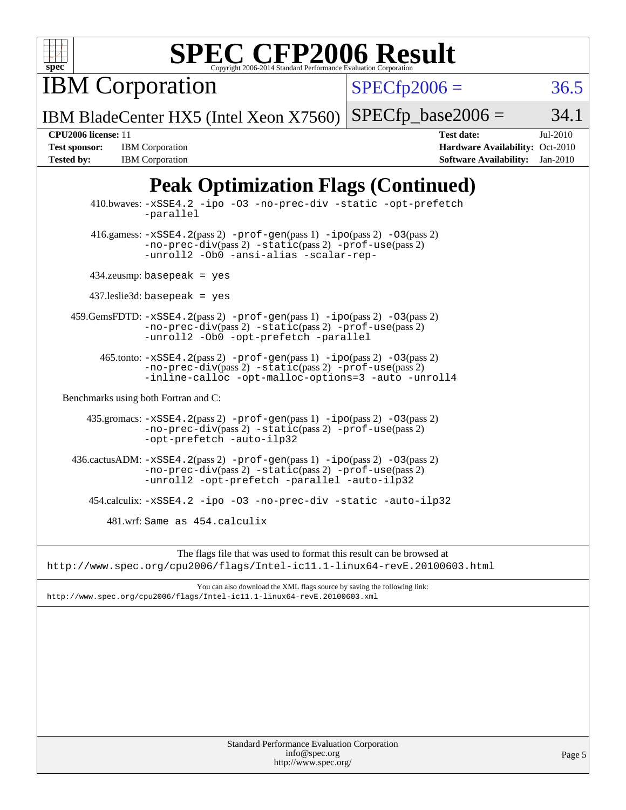

# **[SPEC CFP2006 Result](http://www.spec.org/auto/cpu2006/Docs/result-fields.html#SPECCFP2006Result)**

IBM Corporation

 $SPECTp2006 = 36.5$ 

IBM BladeCenter HX5 (Intel Xeon X7560)  $SPECTp\_base2006 = 34.1$ 

**[Test sponsor:](http://www.spec.org/auto/cpu2006/Docs/result-fields.html#Testsponsor)** IBM Corporation **[Hardware Availability:](http://www.spec.org/auto/cpu2006/Docs/result-fields.html#HardwareAvailability)** Oct-2010 **[Tested by:](http://www.spec.org/auto/cpu2006/Docs/result-fields.html#Testedby)** IBM Corporation **[Software Availability:](http://www.spec.org/auto/cpu2006/Docs/result-fields.html#SoftwareAvailability)** Jan-2010

**[CPU2006 license:](http://www.spec.org/auto/cpu2006/Docs/result-fields.html#CPU2006license)** 11 **[Test date:](http://www.spec.org/auto/cpu2006/Docs/result-fields.html#Testdate)** Jul-2010

# **[Peak Optimization Flags \(Continued\)](http://www.spec.org/auto/cpu2006/Docs/result-fields.html#PeakOptimizationFlags)**

Standard Performance Evaluation Corporation [info@spec.org](mailto:info@spec.org) <http://www.spec.org/> Page 5 410.bwaves: [-xSSE4.2](http://www.spec.org/cpu2006/results/res2010q3/cpu2006-20100802-12778.flags.html#user_peakOPTIMIZE410_bwaves_f-xSSE42_f91528193cf0b216347adb8b939d4107) [-ipo](http://www.spec.org/cpu2006/results/res2010q3/cpu2006-20100802-12778.flags.html#user_peakOPTIMIZE410_bwaves_f-ipo) [-O3](http://www.spec.org/cpu2006/results/res2010q3/cpu2006-20100802-12778.flags.html#user_peakOPTIMIZE410_bwaves_f-O3) [-no-prec-div](http://www.spec.org/cpu2006/results/res2010q3/cpu2006-20100802-12778.flags.html#user_peakOPTIMIZE410_bwaves_f-no-prec-div) [-static](http://www.spec.org/cpu2006/results/res2010q3/cpu2006-20100802-12778.flags.html#user_peakOPTIMIZE410_bwaves_f-static) [-opt-prefetch](http://www.spec.org/cpu2006/results/res2010q3/cpu2006-20100802-12778.flags.html#user_peakOPTIMIZE410_bwaves_f-opt-prefetch) [-parallel](http://www.spec.org/cpu2006/results/res2010q3/cpu2006-20100802-12778.flags.html#user_peakOPTIMIZE410_bwaves_f-parallel)  $416$ .gamess:  $-xSSE4$ .  $2(pass 2)$  [-prof-gen](http://www.spec.org/cpu2006/results/res2010q3/cpu2006-20100802-12778.flags.html#user_peakPASS1_FFLAGSPASS1_LDFLAGS416_gamess_prof_gen_e43856698f6ca7b7e442dfd80e94a8fc)(pass 1) [-ipo](http://www.spec.org/cpu2006/results/res2010q3/cpu2006-20100802-12778.flags.html#user_peakPASS2_FFLAGSPASS2_LDFLAGS416_gamess_f-ipo)(pass 2) [-O3](http://www.spec.org/cpu2006/results/res2010q3/cpu2006-20100802-12778.flags.html#user_peakPASS2_FFLAGSPASS2_LDFLAGS416_gamess_f-O3)(pass 2) [-no-prec-div](http://www.spec.org/cpu2006/results/res2010q3/cpu2006-20100802-12778.flags.html#user_peakPASS2_FFLAGSPASS2_LDFLAGS416_gamess_f-no-prec-div)(pass 2) [-static](http://www.spec.org/cpu2006/results/res2010q3/cpu2006-20100802-12778.flags.html#user_peakPASS2_FFLAGSPASS2_LDFLAGS416_gamess_f-static)(pass 2) [-prof-use](http://www.spec.org/cpu2006/results/res2010q3/cpu2006-20100802-12778.flags.html#user_peakPASS2_FFLAGSPASS2_LDFLAGS416_gamess_prof_use_bccf7792157ff70d64e32fe3e1250b55)(pass 2) [-unroll2](http://www.spec.org/cpu2006/results/res2010q3/cpu2006-20100802-12778.flags.html#user_peakOPTIMIZE416_gamess_f-unroll_784dae83bebfb236979b41d2422d7ec2) [-Ob0](http://www.spec.org/cpu2006/results/res2010q3/cpu2006-20100802-12778.flags.html#user_peakOPTIMIZE416_gamess_f-Ob_n_fbe6f6428adb7d4b74b1e99bb2444c2d) [-ansi-alias](http://www.spec.org/cpu2006/results/res2010q3/cpu2006-20100802-12778.flags.html#user_peakOPTIMIZE416_gamess_f-ansi-alias) [-scalar-rep-](http://www.spec.org/cpu2006/results/res2010q3/cpu2006-20100802-12778.flags.html#user_peakOPTIMIZE416_gamess_f-disablescalarrep_abbcad04450fb118e4809c81d83c8a1d) 434.zeusmp: basepeak = yes 437.leslie3d: basepeak = yes 459.GemsFDTD: [-xSSE4.2](http://www.spec.org/cpu2006/results/res2010q3/cpu2006-20100802-12778.flags.html#user_peakPASS2_FFLAGSPASS2_LDFLAGS459_GemsFDTD_f-xSSE42_f91528193cf0b216347adb8b939d4107)(pass 2) [-prof-gen](http://www.spec.org/cpu2006/results/res2010q3/cpu2006-20100802-12778.flags.html#user_peakPASS1_FFLAGSPASS1_LDFLAGS459_GemsFDTD_prof_gen_e43856698f6ca7b7e442dfd80e94a8fc)(pass 1) [-ipo](http://www.spec.org/cpu2006/results/res2010q3/cpu2006-20100802-12778.flags.html#user_peakPASS2_FFLAGSPASS2_LDFLAGS459_GemsFDTD_f-ipo)(pass 2) [-O3](http://www.spec.org/cpu2006/results/res2010q3/cpu2006-20100802-12778.flags.html#user_peakPASS2_FFLAGSPASS2_LDFLAGS459_GemsFDTD_f-O3)(pass 2) [-no-prec-div](http://www.spec.org/cpu2006/results/res2010q3/cpu2006-20100802-12778.flags.html#user_peakPASS2_FFLAGSPASS2_LDFLAGS459_GemsFDTD_f-no-prec-div)(pass 2) [-static](http://www.spec.org/cpu2006/results/res2010q3/cpu2006-20100802-12778.flags.html#user_peakPASS2_FFLAGSPASS2_LDFLAGS459_GemsFDTD_f-static)(pass 2) [-prof-use](http://www.spec.org/cpu2006/results/res2010q3/cpu2006-20100802-12778.flags.html#user_peakPASS2_FFLAGSPASS2_LDFLAGS459_GemsFDTD_prof_use_bccf7792157ff70d64e32fe3e1250b55)(pass 2) [-unroll2](http://www.spec.org/cpu2006/results/res2010q3/cpu2006-20100802-12778.flags.html#user_peakOPTIMIZE459_GemsFDTD_f-unroll_784dae83bebfb236979b41d2422d7ec2) [-Ob0](http://www.spec.org/cpu2006/results/res2010q3/cpu2006-20100802-12778.flags.html#user_peakOPTIMIZE459_GemsFDTD_f-Ob_n_fbe6f6428adb7d4b74b1e99bb2444c2d) [-opt-prefetch](http://www.spec.org/cpu2006/results/res2010q3/cpu2006-20100802-12778.flags.html#user_peakOPTIMIZE459_GemsFDTD_f-opt-prefetch) [-parallel](http://www.spec.org/cpu2006/results/res2010q3/cpu2006-20100802-12778.flags.html#user_peakOPTIMIZE459_GemsFDTD_f-parallel)  $465$ .tonto:  $-xSSE4$ .  $2(pass 2)$  [-prof-gen](http://www.spec.org/cpu2006/results/res2010q3/cpu2006-20100802-12778.flags.html#user_peakPASS1_FFLAGSPASS1_LDFLAGS465_tonto_prof_gen_e43856698f6ca7b7e442dfd80e94a8fc)(pass 1) [-ipo](http://www.spec.org/cpu2006/results/res2010q3/cpu2006-20100802-12778.flags.html#user_peakPASS2_FFLAGSPASS2_LDFLAGS465_tonto_f-ipo)(pass 2) -03(pass 2) [-no-prec-div](http://www.spec.org/cpu2006/results/res2010q3/cpu2006-20100802-12778.flags.html#user_peakPASS2_FFLAGSPASS2_LDFLAGS465_tonto_f-no-prec-div)(pass 2) [-static](http://www.spec.org/cpu2006/results/res2010q3/cpu2006-20100802-12778.flags.html#user_peakPASS2_FFLAGSPASS2_LDFLAGS465_tonto_f-static)(pass 2) [-prof-use](http://www.spec.org/cpu2006/results/res2010q3/cpu2006-20100802-12778.flags.html#user_peakPASS2_FFLAGSPASS2_LDFLAGS465_tonto_prof_use_bccf7792157ff70d64e32fe3e1250b55)(pass 2) [-inline-calloc](http://www.spec.org/cpu2006/results/res2010q3/cpu2006-20100802-12778.flags.html#user_peakOPTIMIZE465_tonto_f-inline-calloc) [-opt-malloc-options=3](http://www.spec.org/cpu2006/results/res2010q3/cpu2006-20100802-12778.flags.html#user_peakOPTIMIZE465_tonto_f-opt-malloc-options_13ab9b803cf986b4ee62f0a5998c2238) [-auto](http://www.spec.org/cpu2006/results/res2010q3/cpu2006-20100802-12778.flags.html#user_peakOPTIMIZE465_tonto_f-auto) [-unroll4](http://www.spec.org/cpu2006/results/res2010q3/cpu2006-20100802-12778.flags.html#user_peakOPTIMIZE465_tonto_f-unroll_4e5e4ed65b7fd20bdcd365bec371b81f) [Benchmarks using both Fortran and C](http://www.spec.org/auto/cpu2006/Docs/result-fields.html#BenchmarksusingbothFortranandC): 435.gromacs: [-xSSE4.2](http://www.spec.org/cpu2006/results/res2010q3/cpu2006-20100802-12778.flags.html#user_peakPASS2_CFLAGSPASS2_FFLAGSPASS2_LDFLAGS435_gromacs_f-xSSE42_f91528193cf0b216347adb8b939d4107)(pass 2) [-prof-gen](http://www.spec.org/cpu2006/results/res2010q3/cpu2006-20100802-12778.flags.html#user_peakPASS1_CFLAGSPASS1_FFLAGSPASS1_LDFLAGS435_gromacs_prof_gen_e43856698f6ca7b7e442dfd80e94a8fc)(pass 1) [-ipo](http://www.spec.org/cpu2006/results/res2010q3/cpu2006-20100802-12778.flags.html#user_peakPASS2_CFLAGSPASS2_FFLAGSPASS2_LDFLAGS435_gromacs_f-ipo)(pass 2) [-O3](http://www.spec.org/cpu2006/results/res2010q3/cpu2006-20100802-12778.flags.html#user_peakPASS2_CFLAGSPASS2_FFLAGSPASS2_LDFLAGS435_gromacs_f-O3)(pass 2) [-no-prec-div](http://www.spec.org/cpu2006/results/res2010q3/cpu2006-20100802-12778.flags.html#user_peakPASS2_CFLAGSPASS2_FFLAGSPASS2_LDFLAGS435_gromacs_f-no-prec-div)(pass 2) [-static](http://www.spec.org/cpu2006/results/res2010q3/cpu2006-20100802-12778.flags.html#user_peakPASS2_CFLAGSPASS2_FFLAGSPASS2_LDFLAGS435_gromacs_f-static)(pass 2) [-prof-use](http://www.spec.org/cpu2006/results/res2010q3/cpu2006-20100802-12778.flags.html#user_peakPASS2_CFLAGSPASS2_FFLAGSPASS2_LDFLAGS435_gromacs_prof_use_bccf7792157ff70d64e32fe3e1250b55)(pass 2) [-opt-prefetch](http://www.spec.org/cpu2006/results/res2010q3/cpu2006-20100802-12778.flags.html#user_peakOPTIMIZE435_gromacs_f-opt-prefetch) [-auto-ilp32](http://www.spec.org/cpu2006/results/res2010q3/cpu2006-20100802-12778.flags.html#user_peakCOPTIMIZE435_gromacs_f-auto-ilp32) 436.cactusADM: [-xSSE4.2](http://www.spec.org/cpu2006/results/res2010q3/cpu2006-20100802-12778.flags.html#user_peakPASS2_CFLAGSPASS2_FFLAGSPASS2_LDFLAGS436_cactusADM_f-xSSE42_f91528193cf0b216347adb8b939d4107)(pass 2) [-prof-gen](http://www.spec.org/cpu2006/results/res2010q3/cpu2006-20100802-12778.flags.html#user_peakPASS1_CFLAGSPASS1_FFLAGSPASS1_LDFLAGS436_cactusADM_prof_gen_e43856698f6ca7b7e442dfd80e94a8fc)(pass 1) [-ipo](http://www.spec.org/cpu2006/results/res2010q3/cpu2006-20100802-12778.flags.html#user_peakPASS2_CFLAGSPASS2_FFLAGSPASS2_LDFLAGS436_cactusADM_f-ipo)(pass 2) [-O3](http://www.spec.org/cpu2006/results/res2010q3/cpu2006-20100802-12778.flags.html#user_peakPASS2_CFLAGSPASS2_FFLAGSPASS2_LDFLAGS436_cactusADM_f-O3)(pass 2) [-no-prec-div](http://www.spec.org/cpu2006/results/res2010q3/cpu2006-20100802-12778.flags.html#user_peakPASS2_CFLAGSPASS2_FFLAGSPASS2_LDFLAGS436_cactusADM_f-no-prec-div)(pass 2) [-static](http://www.spec.org/cpu2006/results/res2010q3/cpu2006-20100802-12778.flags.html#user_peakPASS2_CFLAGSPASS2_FFLAGSPASS2_LDFLAGS436_cactusADM_f-static)(pass 2) [-prof-use](http://www.spec.org/cpu2006/results/res2010q3/cpu2006-20100802-12778.flags.html#user_peakPASS2_CFLAGSPASS2_FFLAGSPASS2_LDFLAGS436_cactusADM_prof_use_bccf7792157ff70d64e32fe3e1250b55)(pass 2) [-unroll2](http://www.spec.org/cpu2006/results/res2010q3/cpu2006-20100802-12778.flags.html#user_peakOPTIMIZE436_cactusADM_f-unroll_784dae83bebfb236979b41d2422d7ec2) [-opt-prefetch](http://www.spec.org/cpu2006/results/res2010q3/cpu2006-20100802-12778.flags.html#user_peakOPTIMIZE436_cactusADM_f-opt-prefetch) [-parallel](http://www.spec.org/cpu2006/results/res2010q3/cpu2006-20100802-12778.flags.html#user_peakOPTIMIZE436_cactusADM_f-parallel) [-auto-ilp32](http://www.spec.org/cpu2006/results/res2010q3/cpu2006-20100802-12778.flags.html#user_peakCOPTIMIZE436_cactusADM_f-auto-ilp32) 454.calculix: [-xSSE4.2](http://www.spec.org/cpu2006/results/res2010q3/cpu2006-20100802-12778.flags.html#user_peakOPTIMIZE454_calculix_f-xSSE42_f91528193cf0b216347adb8b939d4107) [-ipo](http://www.spec.org/cpu2006/results/res2010q3/cpu2006-20100802-12778.flags.html#user_peakOPTIMIZE454_calculix_f-ipo) [-O3](http://www.spec.org/cpu2006/results/res2010q3/cpu2006-20100802-12778.flags.html#user_peakOPTIMIZE454_calculix_f-O3) [-no-prec-div](http://www.spec.org/cpu2006/results/res2010q3/cpu2006-20100802-12778.flags.html#user_peakOPTIMIZE454_calculix_f-no-prec-div) [-static](http://www.spec.org/cpu2006/results/res2010q3/cpu2006-20100802-12778.flags.html#user_peakOPTIMIZE454_calculix_f-static) [-auto-ilp32](http://www.spec.org/cpu2006/results/res2010q3/cpu2006-20100802-12778.flags.html#user_peakCOPTIMIZE454_calculix_f-auto-ilp32) 481.wrf: Same as 454.calculix The flags file that was used to format this result can be browsed at <http://www.spec.org/cpu2006/flags/Intel-ic11.1-linux64-revE.20100603.html> You can also download the XML flags source by saving the following link: <http://www.spec.org/cpu2006/flags/Intel-ic11.1-linux64-revE.20100603.xml>